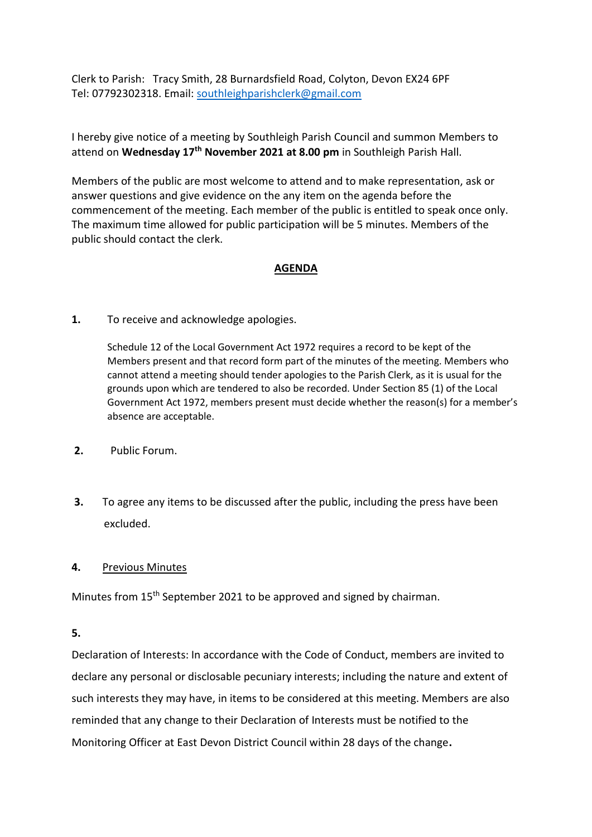Clerk to Parish: Tracy Smith, 28 Burnardsfield Road, Colyton, Devon EX24 6PF Tel: 07792302318. Email: [southleighparishclerk@gmail.com](mailto:southleighparishclerk@gmail.com)

I hereby give notice of a meeting by Southleigh Parish Council and summon Members to attend on **Wednesday 17th November 2021 at 8.00 pm** in Southleigh Parish Hall.

Members of the public are most welcome to attend and to make representation, ask or answer questions and give evidence on the any item on the agenda before the commencement of the meeting. Each member of the public is entitled to speak once only. The maximum time allowed for public participation will be 5 minutes. Members of the public should contact the clerk.

# **AGENDA**

## **1.** To receive and acknowledge apologies.

Schedule 12 of the Local Government Act 1972 requires a record to be kept of the Members present and that record form part of the minutes of the meeting. Members who cannot attend a meeting should tender apologies to the Parish Clerk, as it is usual for the grounds upon which are tendered to also be recorded. Under Section 85 (1) of the Local Government Act 1972, members present must decide whether the reason(s) for a member's absence are acceptable.

- **2.** Public Forum.
- **3.** To agree any items to be discussed after the public, including the press have been excluded.

### **4.** Previous Minutes

Minutes from 15<sup>th</sup> September 2021 to be approved and signed by chairman.

### **5.**

Declaration of Interests: In accordance with the Code of Conduct, members are invited to declare any personal or disclosable pecuniary interests; including the nature and extent of such interests they may have, in items to be considered at this meeting. Members are also reminded that any change to their Declaration of Interests must be notified to the Monitoring Officer at East Devon District Council within 28 days of the change**.**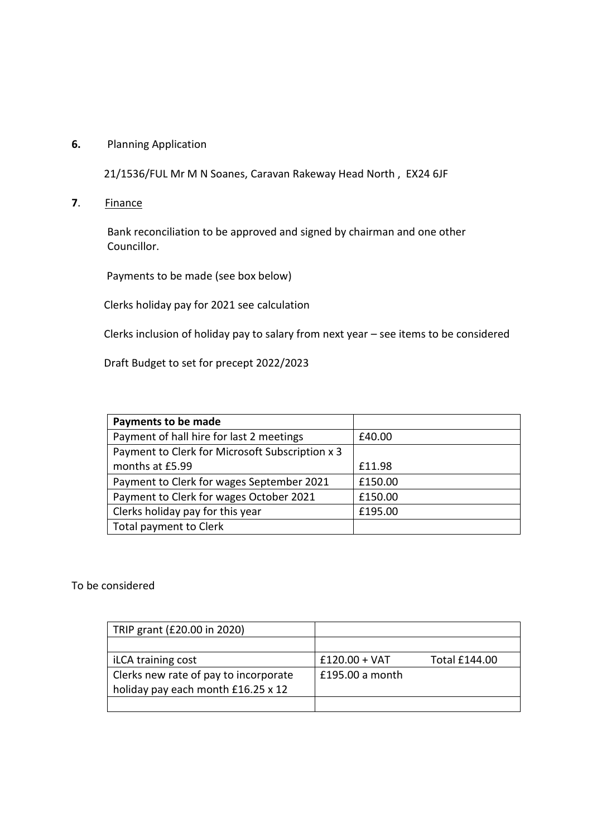## **6.** Planning Application

21/1536/FUL Mr M N Soanes, Caravan Rakeway Head North , EX24 6JF

**7**. Finance

Bank reconciliation to be approved and signed by chairman and one other Councillor.

Payments to be made (see box below)

Clerks holiday pay for 2021 see calculation

Clerks inclusion of holiday pay to salary from next year – see items to be considered

Draft Budget to set for precept 2022/2023

| Payments to be made                             |         |
|-------------------------------------------------|---------|
| Payment of hall hire for last 2 meetings        | £40.00  |
| Payment to Clerk for Microsoft Subscription x 3 |         |
| months at £5.99                                 | £11.98  |
| Payment to Clerk for wages September 2021       | £150.00 |
| Payment to Clerk for wages October 2021         | £150.00 |
| Clerks holiday pay for this year                | £195.00 |
| Total payment to Clerk                          |         |

### To be considered

| TRIP grant (£20.00 in 2020)           |                 |                      |
|---------------------------------------|-----------------|----------------------|
|                                       |                 |                      |
| iLCA training cost                    | $£120.00 + VAT$ | <b>Total £144.00</b> |
| Clerks new rate of pay to incorporate | £195.00 a month |                      |
| holiday pay each month £16.25 x 12    |                 |                      |
|                                       |                 |                      |